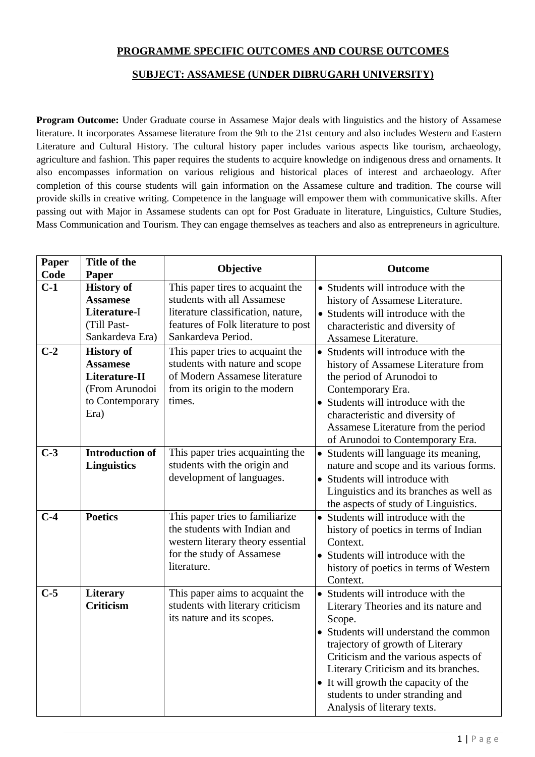## **PROGRAMME SPECIFIC OUTCOMES AND COURSE OUTCOMES**

## **SUBJECT: ASSAMESE (UNDER DIBRUGARH UNIVERSITY)**

**Program Outcome:** Under Graduate course in Assamese Major deals with linguistics and the history of Assamese literature. It incorporates Assamese literature from the 9th to the 21st century and also includes Western and Eastern Literature and Cultural History. The cultural history paper includes various aspects like tourism, archaeology, agriculture and fashion. This paper requires the students to acquire knowledge on indigenous dress and ornaments. It also encompasses information on various religious and historical places of interest and archaeology. After completion of this course students will gain information on the Assamese culture and tradition. The course will provide skills in creative writing. Competence in the language will empower them with communicative skills. After passing out with Major in Assamese students can opt for Post Graduate in literature, Linguistics, Culture Studies, Mass Communication and Tourism. They can engage themselves as teachers and also as entrepreneurs in agriculture.

| Paper<br>Code | Title of the<br>Paper                                                                              | Objective                                                                                                                                                         | <b>Outcome</b>                                                                                                                                                                                                                                                                                                                                              |
|---------------|----------------------------------------------------------------------------------------------------|-------------------------------------------------------------------------------------------------------------------------------------------------------------------|-------------------------------------------------------------------------------------------------------------------------------------------------------------------------------------------------------------------------------------------------------------------------------------------------------------------------------------------------------------|
| $C-1$         | <b>History of</b><br><b>Assamese</b><br>Literature-I<br>(Till Past-<br>Sankardeva Era)             | This paper tires to acquaint the<br>students with all Assamese<br>literature classification, nature,<br>features of Folk literature to post<br>Sankardeva Period. | • Students will introduce with the<br>history of Assamese Literature.<br>• Students will introduce with the<br>characteristic and diversity of<br>Assamese Literature.                                                                                                                                                                                      |
| $C-2$         | <b>History of</b><br><b>Assamese</b><br>Literature-II<br>(From Arunodoi<br>to Contemporary<br>Era) | This paper tries to acquaint the<br>students with nature and scope<br>of Modern Assamese literature<br>from its origin to the modern<br>times.                    | • Students will introduce with the<br>history of Assamese Literature from<br>the period of Arunodoi to<br>Contemporary Era.<br>• Students will introduce with the<br>characteristic and diversity of<br>Assamese Literature from the period<br>of Arunodoi to Contemporary Era.                                                                             |
| $C-3$         | <b>Introduction of</b><br><b>Linguistics</b>                                                       | This paper tries acquainting the<br>students with the origin and<br>development of languages.                                                                     | • Students will language its meaning,<br>nature and scope and its various forms.<br>• Students will introduce with<br>Linguistics and its branches as well as<br>the aspects of study of Linguistics.                                                                                                                                                       |
| $C-4$         | <b>Poetics</b>                                                                                     | This paper tries to familiarize<br>the students with Indian and<br>western literary theory essential<br>for the study of Assamese<br>literature.                  | • Students will introduce with the<br>history of poetics in terms of Indian<br>Context.<br>• Students will introduce with the<br>history of poetics in terms of Western<br>Context.                                                                                                                                                                         |
| $C-5$         | <b>Literary</b><br><b>Criticism</b>                                                                | This paper aims to acquaint the<br>students with literary criticism<br>its nature and its scopes.                                                                 | • Students will introduce with the<br>Literary Theories and its nature and<br>Scope.<br>• Students will understand the common<br>trajectory of growth of Literary<br>Criticism and the various aspects of<br>Literary Criticism and its branches.<br>• It will growth the capacity of the<br>students to under stranding and<br>Analysis of literary texts. |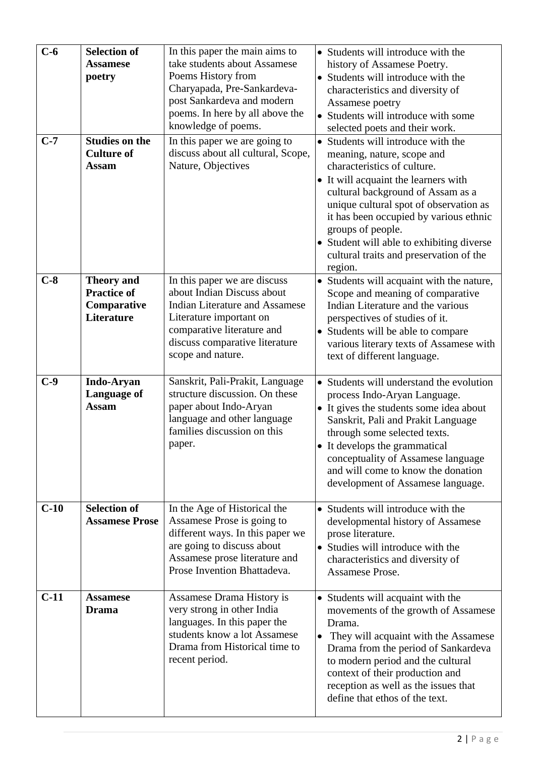| $C-6$<br>$C-7$ | <b>Selection of</b><br><b>Assamese</b><br>poetry<br><b>Studies on the</b><br><b>Culture of</b> | In this paper the main aims to<br>take students about Assamese<br>Poems History from<br>Charyapada, Pre-Sankardeva-<br>post Sankardeva and modern<br>poems. In here by all above the<br>knowledge of poems.<br>In this paper we are going to<br>discuss about all cultural, Scope, | • Students will introduce with the<br>history of Assamese Poetry.<br>• Students will introduce with the<br>characteristics and diversity of<br>Assamese poetry<br>• Students will introduce with some<br>selected poets and their work.<br>• Students will introduce with the<br>meaning, nature, scope and                             |
|----------------|------------------------------------------------------------------------------------------------|------------------------------------------------------------------------------------------------------------------------------------------------------------------------------------------------------------------------------------------------------------------------------------|-----------------------------------------------------------------------------------------------------------------------------------------------------------------------------------------------------------------------------------------------------------------------------------------------------------------------------------------|
|                | <b>Assam</b>                                                                                   | Nature, Objectives                                                                                                                                                                                                                                                                 | characteristics of culture.<br>• It will acquaint the learners with<br>cultural background of Assam as a<br>unique cultural spot of observation as<br>it has been occupied by various ethnic<br>groups of people.<br>• Student will able to exhibiting diverse<br>cultural traits and preservation of the<br>region.                    |
| $C-8$          | <b>Theory and</b><br><b>Practice of</b><br>Comparative<br><b>Literature</b>                    | In this paper we are discuss<br>about Indian Discuss about<br><b>Indian Literature and Assamese</b><br>Literature important on<br>comparative literature and<br>discuss comparative literature<br>scope and nature.                                                                | Students will acquaint with the nature,<br>$\bullet$<br>Scope and meaning of comparative<br>Indian Literature and the various<br>perspectives of studies of it.<br>• Students will be able to compare<br>various literary texts of Assamese with<br>text of different language.                                                         |
| $C-9$          | <b>Indo-Aryan</b><br>Language of<br><b>Assam</b>                                               | Sanskrit, Pali-Prakit, Language<br>structure discussion. On these<br>paper about Indo-Aryan<br>language and other language<br>families discussion on this<br>paper.                                                                                                                | Students will understand the evolution<br>process Indo-Aryan Language.<br>• It gives the students some idea about<br>Sanskrit, Pali and Prakit Language<br>through some selected texts.<br>It develops the grammatical<br>conceptuality of Assamese language<br>and will come to know the donation<br>development of Assamese language. |
| $C-10$         | <b>Selection of</b><br><b>Assamese Prose</b>                                                   | In the Age of Historical the<br>Assamese Prose is going to<br>different ways. In this paper we<br>are going to discuss about<br>Assamese prose literature and<br>Prose Invention Bhattadeva.                                                                                       | • Students will introduce with the<br>developmental history of Assamese<br>prose literature.<br>• Studies will introduce with the<br>characteristics and diversity of<br>Assamese Prose.                                                                                                                                                |
| $C-11$         | <b>Assamese</b><br><b>Drama</b>                                                                | Assamese Drama History is<br>very strong in other India<br>languages. In this paper the<br>students know a lot Assamese<br>Drama from Historical time to<br>recent period.                                                                                                         | • Students will acquaint with the<br>movements of the growth of Assamese<br>Drama.<br>They will acquaint with the Assamese<br>Drama from the period of Sankardeva<br>to modern period and the cultural<br>context of their production and<br>reception as well as the issues that<br>define that ethos of the text.                     |